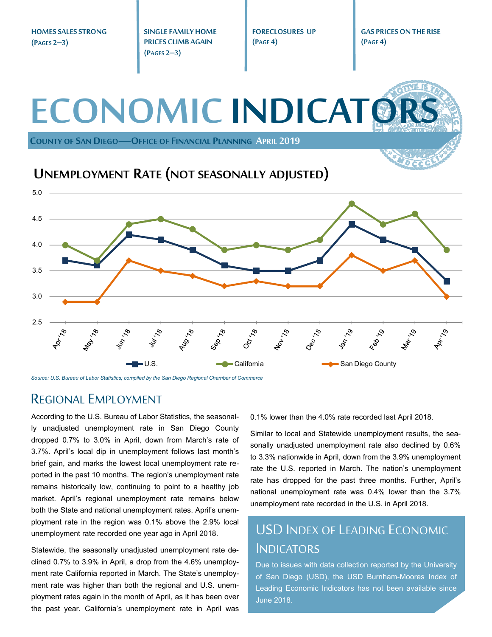**HOMES SALES STRONG (PAGES 2–3)** 

**SINGLE FAMILY HOME PRICES CLIMB AGAIN (PAGES 2–3)** 

**FORECLOSURES UP (PAGE 4)** 

**GAS PRICES ON THE RISE (PAGE 4)** 

### **ECONOMIC INDICATO COUNTY OF SAN DIEGO—OFFICE OF FINANCIAL PLANNING APRIL 2019 UNEMPLOYMENT RATE (NOT SEASONALLY ADJUSTED)** 5.0 4.5 4.0 3.5 3.0 2.5 160-18 **Apr** 19 July 78 **181 92.**  $x^{\circ}$  $\mathcal{S}'$  $\mathcal{S}$  $\mathcal{S}$  $\mathcal{S}'$  $e'$ **Feb.,** Mar., **RAT** تي ■U.S. California San Diego County Communication San Diego County

*Source: U.S. Bureau of Labor Statistics; compiled by the San Diego Regional Chamber of Commerce* 

## REGIONAL EMPLOYMENT

According to the U.S. Bureau of Labor Statistics, the seasonally unadjusted unemployment rate in San Diego County dropped 0.7% to 3.0% in April, down from March's rate of 3.7%. April's local dip in unemployment follows last month's brief gain, and marks the lowest local unemployment rate reported in the past 10 months. The region's unemployment rate remains historically low, continuing to point to a healthy job market. April's regional unemployment rate remains below both the State and national unemployment rates. April's unemployment rate in the region was 0.1% above the 2.9% local unemployment rate recorded one year ago in April 2018.

Statewide, the seasonally unadjusted unemployment rate declined 0.7% to 3.9% in April, a drop from the 4.6% unemployment rate California reported in March. The State's unemployment rate was higher than both the regional and U.S. unemployment rates again in the month of April, as it has been over the past year. California's unemployment rate in April was 0.1% lower than the 4.0% rate recorded last April 2018.

Similar to local and Statewide unemployment results, the seasonally unadjusted unemployment rate also declined by 0.6% to 3.3% nationwide in April, down from the 3.9% unemployment rate the U.S. reported in March. The nation's unemployment rate has dropped for the past three months. Further, April's national unemployment rate was 0.4% lower than the 3.7% unemployment rate recorded in the U.S. in April 2018.

# USD INDEX OF LEADING ECONOMIC INDICATORS

Due to issues with data collection reported by the University of San Diego (USD), the USD Burnham-Moores Index of Leading Economic Indicators has not been available since June 2018.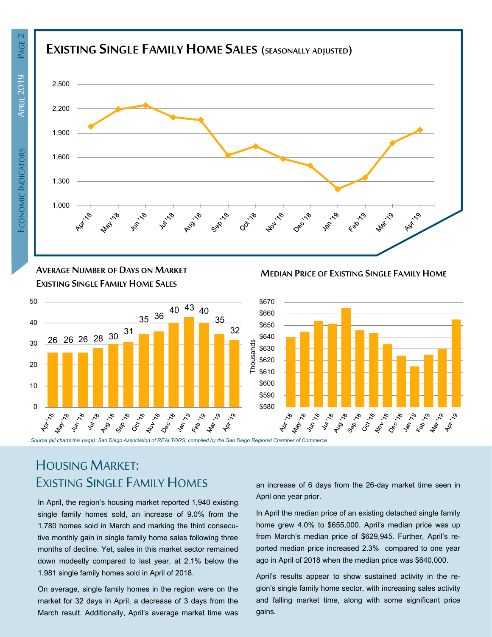

**AVERAGE NUMBER OF DAYS ON MARKET EXISTING SINGLE FAMILY HOME SALES**



**MEDIAN PRICE OF EXISTING SINGLE FAMILY HOME**



# HOUSING MARKET: EXISTING SINGLE FAMILY HOMES

In April, the region's housing market reported 1,940 existing single family homes sold, an increase of 9.0% from the 1,780 homes sold in March and marking the third consecutive monthly gain in single family home sales following three months of decline. Yet, sales in this market sector remained down modestly compared to last year, at 2.1% below the 1,981 single family homes sold in April of 2018.

On average, single family homes in the region were on the market for 32 days in April, a decrease of 3 days from the March result. Additionally, April's average market time was an increase of 6 days from the 26-day market time seen in April one year prior.

In April the median price of an existing detached single family home grew 4.0% to \$655,000. April's median price was up from March's median price of \$629,945. Further, April's reported median price increased 2.3% compared to one year ago in April of 2018 when the median price was \$640,000.

April's results appear to show sustained activity in the region's single family home sector, with increasing sales activity and falling market time, along with some significant price gains.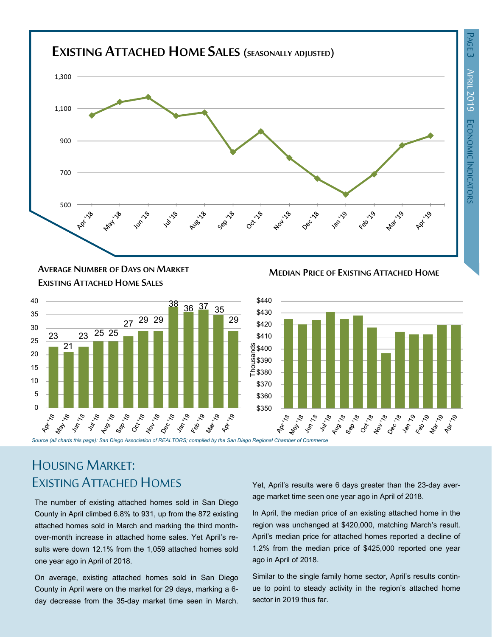

**MEDIAN PRICE OF EXISTING ATTACHED HOME AVERAGE NUMBER OF DAYS ON MARKET EXISTING ATTACHED HOME SALES**





# HOUSING MARKET: EXISTING ATTACHED HOMES

The number of existing attached homes sold in San Diego County in April climbed 6.8% to 931, up from the 872 existing attached homes sold in March and marking the third monthover-month increase in attached home sales. Yet April's results were down 12.1% from the 1,059 attached homes sold one year ago in April of 2018.

On average, existing attached homes sold in San Diego County in April were on the market for 29 days, marking a 6 day decrease from the 35-day market time seen in March. Yet, April's results were 6 days greater than the 23-day average market time seen one year ago in April of 2018.

In April, the median price of an existing attached home in the region was unchanged at \$420,000, matching March's result. April's median price for attached homes reported a decline of 1.2% from the median price of \$425,000 reported one year ago in April of 2018.

Similar to the single family home sector, April's results continue to point to steady activity in the region's attached home sector in 2019 thus far.